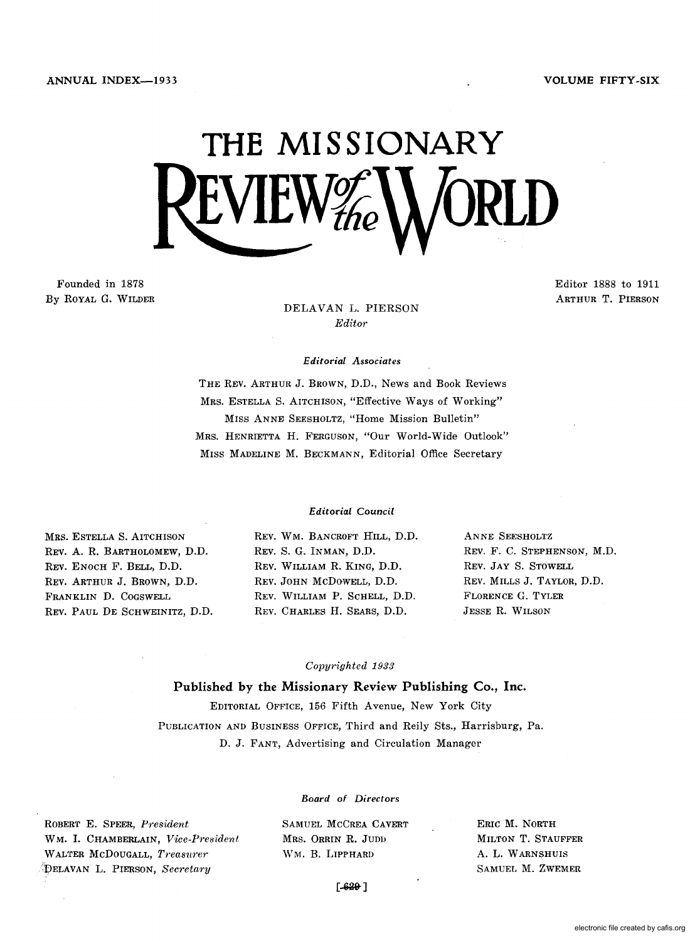# **THE MISSIONARY**   $L$ VILW $\mathcal{H}_\textit{he}$

Founded in 1878 By ROYAL G. WILDER Editor 1888 to 1911 ARTHUR T. PIERSON

DELAVAN L. PIERSON *Editor* 

#### *Editorial Associates*

THE REV. ARTHUR J. BROWN, D.D., News and Book Reviews MRS. ESTELLA S. AITCHISON, "Effective Ways of Working" MISS ANNE SEESHOLTZ, "Home Mission Bulletin" MRS. HENRIETTA H. FERGUSON, "Our World-Wide Outlook" MISS MADELINE M. BECKMANN, Editorial Office Secretary

#### *Editorial Council*

MRS. ESTELLA S. AITCHISON REV. A. R. BARTHOLOMEW, D.D. REV. ENOCH F. BELL, D.D. REV. ARTHUR J. BROWN, D.D. FRANKLIN D. COGSWELL REV. PAUL DE SCHWEINITZ, D.D. REV. WM. BANCROFT HILL, D.D. REV. S. G. INMAN, D.D. REV. WILLIAM R. KING, D.D. REV. JOHN McDoWELL, D.D. REV. WILLIAM P. SCHELL, D.D. REV. CHARLES H. SEARS, D.D.

ANNE SEESHOLTZ REV. F. C. STEPHENSON, M.D. REV. JAY S. STOWELL REV. MILLS J. TAYLOR, D.D. FLORENCE G. TYLER JESSE R. WILSON

#### *Copyrighted 1988*

Published by the Missionary Review Publishing Co., Inc. EDITORIAL OFFICE, 156 Fifth Avenue, New York City PUBLICATION AND BUSINESS OFFICE, Third and Reily Sts., Harrisburg, Pa.

D. J. FANT, Advertising and Circulation Manager

ROBERT E. SPEER, *President*  WM. 1. CHAMBERLAIN, *Vice-President*  WALTER McDOUGALL, *Treasurer* -''DELAVAN L. PIERSON, *Secretary* 

*Board of Directors* 

SAMUEL MCCREA CAVERT MRS. ORRIN R. JUDD WM. B. LIPPHARD

ERIC M. NORTH MILTON T. STAUFFER A. L. W ARNSHUIS SAMUEL M. ZWEMER

 $-6201$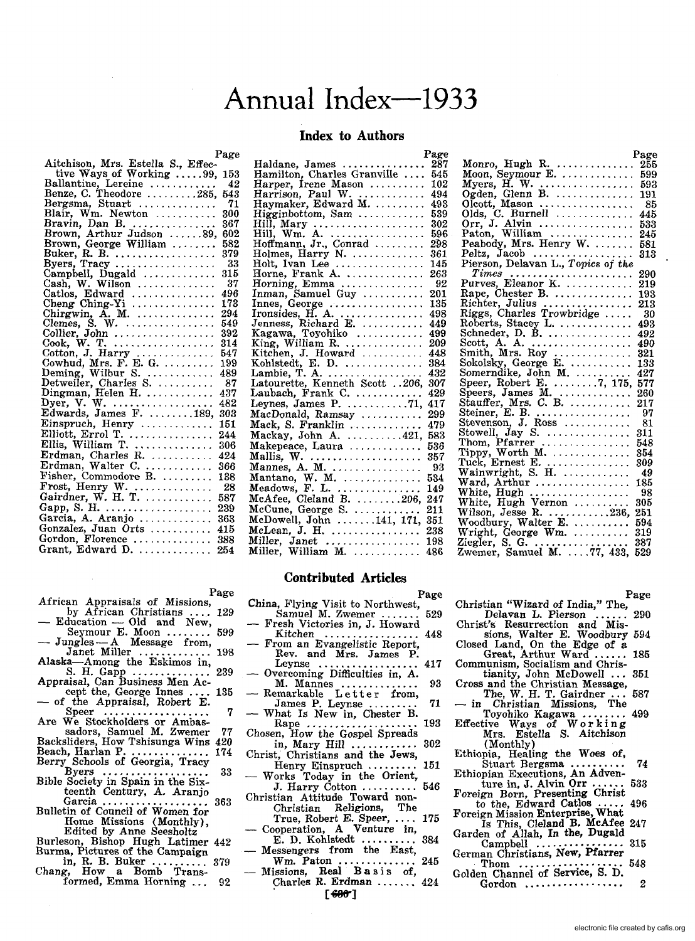## Annual Index--1933

#### **Index to Authors**

|                                                                                                           | Page |
|-----------------------------------------------------------------------------------------------------------|------|
| Aitchison, Mrs. Estella S., Effec-                                                                        |      |
| tive Ways of Working 99,                                                                                  | 153  |
|                                                                                                           | 42   |
|                                                                                                           | 543  |
| Bergsma, Stuart                                                                                           | -71  |
| Blair, Wm. Newton                                                                                         | 300  |
| Bravin, Dan B.                                                                                            | 367  |
| Brown, Arthur Judson 89,                                                                                  | 602  |
| Brown, George William                                                                                     | 582  |
| Buker, R. B.<br>Byers, Tracy                                                                              | 379  |
|                                                                                                           | 33   |
| Campbell, Dugald                                                                                          | 315  |
| $Cash, W. W$ ilson                                                                                        | 37   |
| Catlos, Edward                                                                                            | 496  |
| Cheng Ching-Yi                                                                                            | 173  |
| Chirgwin, A. M.                                                                                           | 294  |
|                                                                                                           | 549  |
|                                                                                                           | 392  |
| Cook, W. T. $\dots \dots \dots \dots \dots$                                                               | 314  |
|                                                                                                           | 547  |
| Cotton, J. Harry<br>Cowhud, Mrs. F. E. G.                                                                 | 199  |
|                                                                                                           | 489  |
| Deming, Wilbur S.<br>Detweiler, Charles S<br>Dingman, Helen H                                             | -87  |
|                                                                                                           | 437  |
| Dyer, V. W.<br>Edwards, James F. 189,                                                                     | 482  |
|                                                                                                           | 303  |
| Einspruch, Henry                                                                                          | 151  |
|                                                                                                           | 244  |
|                                                                                                           | 306  |
| Elliott, Errol T.<br>Ellis, William T.<br>Erdman, Charles R.<br>Erdman, Walter C.<br>Fisher, Commodore B. | 424  |
|                                                                                                           | 366  |
|                                                                                                           | 138  |
|                                                                                                           | -28  |
| Frost, Henry W.<br>Gairdner, W. H. T.                                                                     | 587  |
|                                                                                                           | 239  |
| Gapp, S. H.<br>Garcia, A. Aranjo                                                                          |      |
|                                                                                                           | 363  |
| Gonzalez, Juan Orts                                                                                       | 415  |
| Gordon, Florence                                                                                          | 388  |
| Grant, Edward D. $\dots\dots\dots\dots$                                                                   | 254  |

- Page<br>African Appraisals of Missions,<br>by African Christians .... 129
- $E$ ducation Old and New,<br>Seymour E. Moon ........ 599  $-$  Education  $-$  Old and New,<br>Seymour E. Moon ........ 599<br> $-$  Jungles  $-A$  Message from,
- ngles A Message from,<br>Janet Miller ................ 198
- Alaska-Among the Eskimos in, S. H. Gapp .............. 239 Appraisal, Can Business Men Ac-
- Appraisal, Can Busiless men According the Cept the, George Innes .... 135<br>
 of the Appraisal, Robert E.
- Speer ................... 7
- Are We Stockholders or Ambas-<br>
sadors, Samuel M. Zwemer 77<br>
Backsliders, How Tshisunga Wins 420<br>
Beach, Harlan P. ....................... 174
- Berry Schools of Georgia, Tracy Byers ...•............... 33
- Byers ...................<br>Bible Society in Spain in the Six-
- teenth Century, A. Aranjo Garcia ................... 363 Garcia ....................<br>Bulletin of Council of Women for Home Missions (Monthly),<br>Edited by Anne Seesholtz
- Burleson, Bishop Hugh Latimer 442 Burma, Pictures of the Campaign
- in, R. B. Buker .......... 379 Chang, How a BQmb Trans-formed, Emma Horning '" 92
- 

|                                           | Page       |
|-------------------------------------------|------------|
| Haldane, James                            | 287        |
| Hamilton, Charles Granville               | 545        |
| Harper, Irene Mason                       | 102        |
| Harrison, Paul W.<br>Haymaker, Edward M.  | 494        |
|                                           | 493        |
| Higginbottom, Sam                         | 539        |
| Hill, Mary<br>Hill, Wm. A.                | 302        |
|                                           | 596        |
| Hoffmann, Jr., Conrad $\ldots$            | 298        |
| Holmes, Harry N. $\dots \dots \dots$      | 361        |
| Holt, Ivan Lee                            | 145        |
| Horne, Frank A.                           | 263        |
| Horning, Emma                             | 92         |
| Inman, Samuel Guy                         | 201        |
|                                           | 135        |
|                                           | 498        |
|                                           | 449        |
|                                           | 499        |
| King, William R.                          | 209        |
| Kitchen, J. Howard                        | 448        |
| Kohlstedt, E. D.<br>Lambie, T. A.         | 384        |
|                                           | 432        |
| Latourette, Kenneth Scott 206,            | 307<br>429 |
| Laubach, Frank C.                         |            |
| Leynes, James P. $\dots \dots \dots 71$ , | 417        |
| MacDonald, Ramsay                         | 299        |
| Mack, S. Franklin                         | 479        |
| Mackay, John A. $\dots \dots \dots 421$ , | 583        |
| Makepeace, Laura                          | 536        |
| Mallis, W.<br>Mannes, A. M.               | 357        |
|                                           | - 93       |
|                                           | 534        |
|                                           | 149        |
|                                           | 247        |
|                                           | 211        |
| McDowell, John 141, 171,                  | 351        |
| McLean, J. H.                             | 238        |
| Miller, Janet                             | 198        |
| Miller, William M.                        | 486        |
|                                           |            |

|                                                                                                | Page |
|------------------------------------------------------------------------------------------------|------|
| Monro, Hugh R.<br>Moon, Seymour E.                                                             | 255  |
|                                                                                                | 599  |
| Myers, $H$ . W. $\ldots$                                                                       | 593  |
|                                                                                                | 191  |
|                                                                                                | -85  |
|                                                                                                | 445  |
| Orr, J. Alvin                                                                                  | 533  |
|                                                                                                | 245  |
| Paton, William<br>Peabody, Mrs. Henry W.<br>Peltz, Jacob<br>Pierson, Delavan L., Topics of the | 581  |
|                                                                                                | 313  |
|                                                                                                |      |
|                                                                                                | 290  |
| Times<br>Purves, Eleanor K.                                                                    | 219  |
| Rape, Chester B.                                                                               | 193  |
|                                                                                                | 213  |
| Richter, Julius<br>Riggs, Charles Trowbridge<br>Roberts, Stacey L.                             | - 30 |
|                                                                                                | 493  |
| Schneder, D. B.                                                                                | 492  |
| Scott, A. A. $\dots$                                                                           | 490  |
|                                                                                                | 321  |
|                                                                                                | 133  |
|                                                                                                | 427  |
| Speer, Robert E. 7, 175,                                                                       | 577  |
|                                                                                                | 260  |
|                                                                                                | 217  |
|                                                                                                | -97  |
| Speers, James M.                                                                               | 81   |
| Stowell, $Jay$ S.                                                                              | 311  |
| Thom, Pfarrer                                                                                  | 548  |
| Tippy, Worth M. $\ldots$                                                                       | 354  |
|                                                                                                | 309  |
| Tuck, Ernest E.<br>Wainwright, S. H.                                                           | 49   |
| Ward, Arthur                                                                                   | 185  |
| White, Hugh $\ldots$                                                                           | -98  |
|                                                                                                | 305  |
| White, Hugh Vernon<br>Wilson, Jesse R. 236,<br>Woodbury, Walter E.                             | 251  |
|                                                                                                | 594  |
|                                                                                                | 319  |
|                                                                                                | 387  |
|                                                                                                | 529  |
|                                                                                                |      |

### **Contributed Articles**

Page China, Flying Visit to Northwest, Samuel M. Zwemer ....... 529 - Fresh Victories in, J. Howard

- 
- Fresh Victories in, J. Howard<br>
Kitchen ..................... 448<br>
From an Evangelistic Report,<br>
Rev. and Mrs. James P.<br>
Leynse .................. 417
- Leynse .................... 417<br>- Overcoming Difficulties in, A.<br>M. Mannes ............... 93
- M. Mannes .............. 93 Remarkable Let tel' from, -- Remarkable Letter from,<br>James P. Leynse .......... 71<br>-- What Is New in, Chester B.
- Rape .................... 193
- Rape ...................<br>Chosen, How the Gospel Spreads in, Mary Hill .........•.. 302
- Christ, Christians and the Jews,
- Linux, Christians and the Jews,<br>Henry Einspruch ......... 151<br>Works Today in the Orient,  $J.$  Harry Cotton  $\ldots$  ........... 546
- Christian Attitude Toward non- Christian Religions, The
- True, Robert E. Speer, .... 175<br>Cooperation, A Venture in,<br>E. D. Kohlstedt .......... 384
- E. D. Kohlstedt .......... 384 Messengers from the East,
- VVrn. Paton .............. 245 Missions, Real Bas i s of,
- Charles R. Erdman ....... 424

Christian "Wizard of India," The, Delavan L. Pierson ...... 290 Christ's Resurrection and Missions, Walter E. Woodbury 594 Closed Land, On the Edge of a Great, Arthur Ward ...... 185<br>Communism, Socialism and Christianity, John McDowell ... 351 Cross and the Christian Message,<br>The, W. H. T. Gairdner ... 587<br>- in Christian Missions, The<br>Toyohiko Kagawa ........ 499 — in Unristian Missions, The<br>Toyohiko Kagawa ......... 499<br>Effective Ways of Working<br>Mrs. Estella S. Aitchison (Monthly)<br>Ethiopia, Healing the Woes of, Stuart Bergsma .......... 74 Ethiopian Executions, An Adven-ture in, J. Alvin Orr ...... 533 Foreign Born, Presenting Christ roreign Born, Fresenting Christ<br>to the, Edward Catlos ..... 496<br>Foreign Mission Enterprise, What Is This, Cleland B. McAfee 247 Garden of Allah, In the, Dugald Campbell .........••..••. 315

- German Christians, New, Pfarrer Thom ...........•....... 548
- Golden Channel of Service, S. D. Gordon  $\ldots \ldots \ldots \ldots \ldots 2$ 
	- electronic file created by cafis.org

Page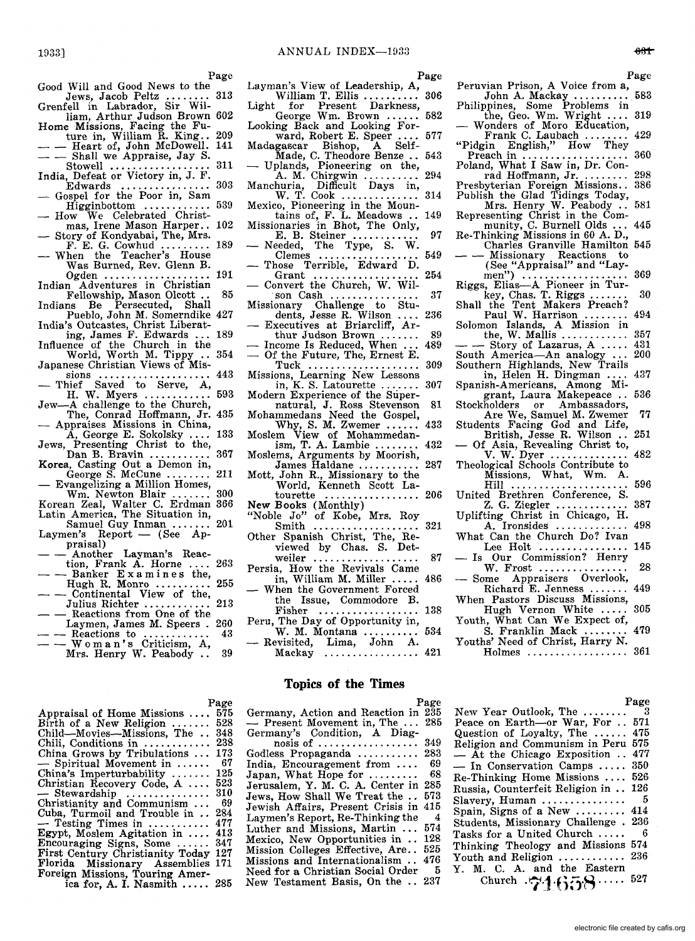Page

- Good Will and Good News to the Good Will and Good News to the<br>Jews, Jacob Peltz ........ 313<br>Grenfell in Labrador, Sir Wil-
- liam, Arthur Judson Brown 602
- Home Missions, Facing the Fu-<br>ture in, William R. King.. 209<br>- Heart of, John McDowell. 141<br>- Shall we Appraise, Jay S.
- Shall we Appraise, Jay S.<br>Stowell ......................... 311
- 
- India, Defeat or Victory in, J. F.<br>Edwards ........................ 303<br>- Gospel for the Poor in, Sam Gospel for the Poor in, Sam<br>Higginbottom ............... 539
- How We Celebrated Christ-
- mas, Irene Mason Harper.. 102 Story of Kondyabai, The, Mrs.
- F. E. G. Cowhud ......... 189 When the Teacher's House
- Was Burned, Rev. Glenn B. Ogden ................... 191 Indian Adventures in Christian
- Fellowship, Mason Olcott ., 85 Indians Be Persecuted, Shall Pueblo, John M. Somerndike 427
- India's Outcastes, Christ Liberat-
- ing, James F. Edwards ... 189 Influence of the Church in the World, Worth M. Tippy ... 354
- Japanese Christian Views of Mis-
- dependence Christian Views of Missions<br>sions ...................... 443<br>— Thief Saved to Serve, A,
- H. W. Myers ............ 593 Jew-A challenge to the Church,
- The, Conrad Hoffmann, Jr. 435<br>- Appraises Missions in China,
- A, George E. Sokolsky .... 133<br>Presenting Christ to the, Jews, Presenting Christ to the, Dan B. Bravin ........... 367 Korea, Casting Out a Demon in,
- 
- Aorea, Casting Out a Demon in,<br>George S. McCune ......... 211<br>— Evangelizing a Million Homes,
- Wm. Newton Blair ....... 300 Korean Zeal, Walter C. Erdman 366
- Latin America, The Situation in, Samuel Guy Inman ....... 201 Samuel Guy Inman .......<br>Laymen's Report - (See Ap-<br>praisal)
- Another Layman's Reac-<br>tion, Frank A. Horne .... 263
- $-$  Allotter Layman's Reac-<br>tion, Frank A. Horne .... 263<br> $-$  Banker Examines the,
- $-$  Banker Examines the,<br>Hugh R. Monro .......... 255<br> $-$  Continental View of the,
- Julius Richter .......... " 213 - Reactions from One of the
- Laymen, James M. Speers. 260 - Reactions to ............ 43 - Worn an's Criticism, A,
- Mrs. Henry W. Peabody.

Page

Appraisal of Home Missions 575 Appraisal of Home Missions .... 518<br>Birth of a New Religion ........ 528 348 Chili, Conditions in ............ 238 173 Child—Movies—Missions, The...<br>Child—Movies—Missions, The...<br>Chili, Conditions in ..........<br>China Grows by Tribulations ...<br>China's Imperturbability .......<br>Christian Recovery Code, A......<br>Christian Recovery Code, A...... Florida Missionary Assemblies Florida Missionary Assemblies 171<br>Foreign Missions, Touring Amer-67 China's Imperturbability ....... 125 Christian Recovery Code, A .... 523 310 69 Cuba, Turmoil and Trouble in .. 284 477 413 Encouraging Signs, Some ...... 347 First Century Christianity Today 127 gn missions, rouring Amer-<br>ica for, A. I. Nasmith ..... 285

- Page
- Layman's View of Leadership, A,<br>
William T. Ellis ........... 306<br>
Light for Present Darkness,<br>
George Wm. Brown ...... 582
- 
- Looking Back and Looking For-<br>ward, Robert E. Speer .... 577<br>Madagascar Bishop, A Self-<br>Made, C. Theodore Benze .. 543<br>— Uplands, Pioneering on the,
- $A. M. Chirgwin$  ............ 294
- 
- Manchuria, Difficult Days in, W. T. Cook .............. 314 Mexico, Pioneering in the Moun-tains of, F. L. Meadows .. 149
- Missionaries in Bhot, The Only, E. B. Steiner ............ 97
- Needed, The Type, S. W. Clemes .................. 549
- Clemes ..................<br>Those Terrible, Edward D.<br>Grant ....................
- 
- Grant ................... 254 Convert the Church, W. Wil- son Cash................ 37 Missionary Challenge to Stu-dents, Jesse R. Wilson .... 236 Executives at Briarcliff, Ar-
- 
- thur Judson Brown............. 89<br>
 Income Is Reduced, When .... 489<br>
 Of the Future, The Future, The Future, The Future, The Future, The Future, 209
- 
- in, K. S. Latourette ....... 307
- natural, J. Ross Stevenson 81
- Mohammedans Need the Gospel,<br>
Why, S. M. Zwemer ...... 433<br>
Moslem View of Mohammedan-<br>
sm, T. A. Lambie ........ 432
- Moslems, Arguments by Moorish,
- mosiems, Arguments by Moorish,<br>James Haldane ............ 287<br>Mott, John R., Missionary to the
- World, Kenneth Scott La-tourette ................. 206
- tourette ................... 206<br>New Books (Monthly)
- "Noble Jo" of Kobe, Mrs. Roy Smith ................... 321
- Other Spanish Christ, The, Reviewed by Chas. S. Det-
- weiler................... 87 Persia, How the Revivals Came
- in, William M. Miller  $\ldots$ . 486 When the Government Forced the Issue, Commodore B.
- Fisher .................. 138 Peru, The Day of Opportunity in,
- W. M. Montana .......... 534 Revisited, Lima, John A.

Mackay .................. 421

#### **Topics of the Times**

Page<br>Germany, Action and Reaction in 235 Germany, Action and Reaction in 235<br>
- Present Movement in, The ... 285<br>Germany's Condition, A Diagnosis of .................. 349 Godless Propaganda ............ 283<br>India Encouragement from ..... 69 India, Encouragement from .... 69<br>Japan, What Hope for .......... 68 Japan, What Hope for  $\dots\dots$ Jerusalem, Y. M. C. A. Center in 285 Jews, How Shall We Treat the .. 573 Jewish Affairs, Present Crisis in 415 Laymen's Report, Re-Thinking the Luther and Missions, Martin ... 574 Mexico, New Opportunities in .. 128 Mission Colleges Effective, Are.. 525 Missions and Internationalism .. 476<br>Need for a Christian Social Order 5 Need for a Christian Social Order New Testament Basis, On the .. 237

Fullypines, Some Froblems in<br>the, Geo. Wm. Wright .... 319<br>- Wonders of Moro Education, Frank C. Laubach ........ 429 "Pidgin English," How They Preach in ................... 360 Poland, What I Saw in, Dr. Conroland, What I Saw in, Dr. Con-<br>rad Hoffmann, Jr. ......... 298<br>Presbyterian Foreign Missions.. 386 Publish the Glad Tidings Today,<br>
Mrs. Henry W. Peabody .. 581<br>
Representing Christ in the Com-<br>
munity, C. Burnell Olds ... 445 Re-Thinking Missions in 60 A. D., Charles Granville Hamilton 545<br>- Missionary Reactions to (See "Appraisal" and "Lay-men") ................... 369 Riggs, Elias-A Pioneer in Tur-key, Chas. T. Riggs. . . . . .. 30 Shall the Tent Makers Preach? Paul W. Harrison ........ 494 Solomon Islands, A Mission in the, W. Mallis ............... 357<br>- Story of Lazarus, A ..... 431<br>1 America—An analogy ... 200 South America-An analogy ...

Peruvian Prison, A Voice from a, John A. Mackay .......... 583 Philippines, Some Problems in

- 
- Southern Highlands, New Trails<br>
in, Helen H. Dingman .... 437 Spanish-Americans, Among Mi-
- grant, Laura Makepeace ., 536 Stockholders or Ambassadors,
- Are We, Samuel M. Zwemer 77<br>
Students Facing God and Life,<br>
British, Jesse R. Wilson .. 251<br>
 Of Asia, Revealing Christ to,
- 
- Asia, Revealing Christ to,<br>V. W. Dyer Theological Schools Contribute to
- $\text{Missions}, \quad \text{What}, \quad \text{Wm. A.}$ United Brethren Conference, S.
- Z. G. Ziegler ............. 387
- Uplifting Christ in Chicago, H.<br>A. Ironsides ............. 498 A. Ironsides  $\dots\dots\dots$
- What Can the Church Do? Ivan<br>Lee Holt ................ 145 What Can the Church Do: Ivan<br>Lee Holt ................. 145<br>— Is Our Commission? Henry
- 
- -- is Our Commission: Henry<br>W. Frost ...................... 28<br>-- Some Appraisers Overlook, - Some Appraisers Overlook,<br>Richard E. Jenness ....... 449
- When Pastors Discuss Missions,
- Hugh Vernon White ..... 305 Youth, What Can We Expect of,
- S. Franklin Mack ........ 479 Youths' Need of Christ, Harry N. Holmes .................. 361

Page

New Year Outlook, The ........ Peace on Earth-or War, For .. 571<br>Question of Loyalty, The ...... 475 Religion and Communism in Peru 575<br>- At the Chicago Exposition .. 477 - In Conservation Camps ..... 350 Re-Thinking Home Missions .... 526 Russia, Counterfeit Religion in .. 126 Slavery, Human............... Spain, Signs of a New ......... 414 Students, Missionary Challenge . 236 Tasks for a United Church..... 6 Thinking Theology and Missions 574 Youth and Religion .............. 236 Y. M. C. A. and the Eastern Church **.7.1.658**..... <sup>527</sup>

#### $631$

- 
- Or the Future, The, Ernest E.<br>Tuck ...................... 309<br>Missions, Learning New Lessons
- Modern Experience of the Super-